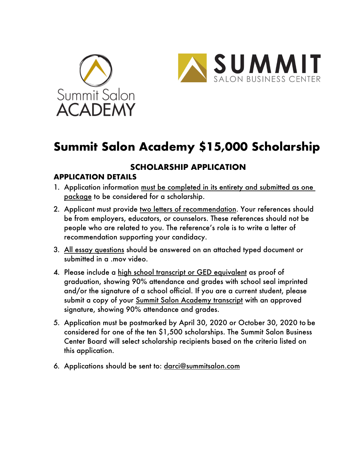



# **Summit Salon Academy \$15,000 Scholarship**

## **SCHOLARSHIP APPLICATION**

## **APPLICATION DETAILS**

- 1. Application information must be completed in its entirety and submitted as one package to be considered for a scholarship.
- 2. Applicant must provide two letters of recommendation. Your references should be from employers, educators, or counselors. These references should not be people who are related to you. The reference's role is to write a letter of recommendation supporting your candidacy.
- 3. All essay questions should be answered on an attached typed document or submitted in a .mov video.
- 4. Please include a high school transcript or GED equivalent as proof of graduation, showing 90% attendance and grades with school seal imprinted and/or the signature of a school official. If you are a current student, please submit a copy of your Summit Salon Academy transcript with an approved signature, showing 90% attendance and grades.
- 5. Application must be postmarked by April 30, 2020 or October 30, 2020 to be considered for one of the ten \$1,500 scholarships. The Summit Salon Business Center Board will select scholarship recipients based on the criteria listed on this application.
- 6. Applications should be sent to: darci@summitsalon.com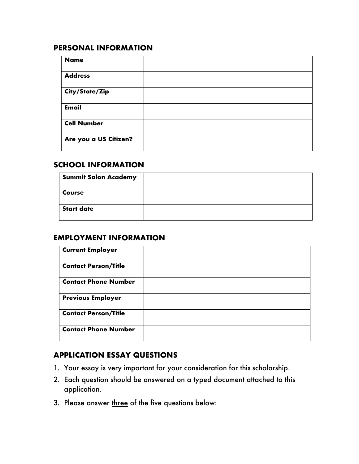#### **PERSONAL INFORMATION**

| <b>Name</b>           |  |
|-----------------------|--|
| <b>Address</b>        |  |
| City/State/Zip        |  |
| <b>Email</b>          |  |
| <b>Cell Number</b>    |  |
| Are you a US Citizen? |  |

#### **SCHOOL INFORMATION**

| <b>Summit Salon Academy</b> |  |
|-----------------------------|--|
| Course                      |  |
| <b>Start date</b>           |  |

#### **EMPLOYMENT INFORMATION**

| <b>Current Employer</b>     |  |
|-----------------------------|--|
| <b>Contact Person/Title</b> |  |
| <b>Contact Phone Number</b> |  |
| <b>Previous Employer</b>    |  |
| <b>Contact Person/Title</b> |  |
| <b>Contact Phone Number</b> |  |

### **APPLICATION ESSAY QUESTIONS**

- 1. Your essay is very important for your consideration for this scholarship.
- 2. Each question should be answered on a typed document attached to this application.
- 3. Please answer three of the five questions below: